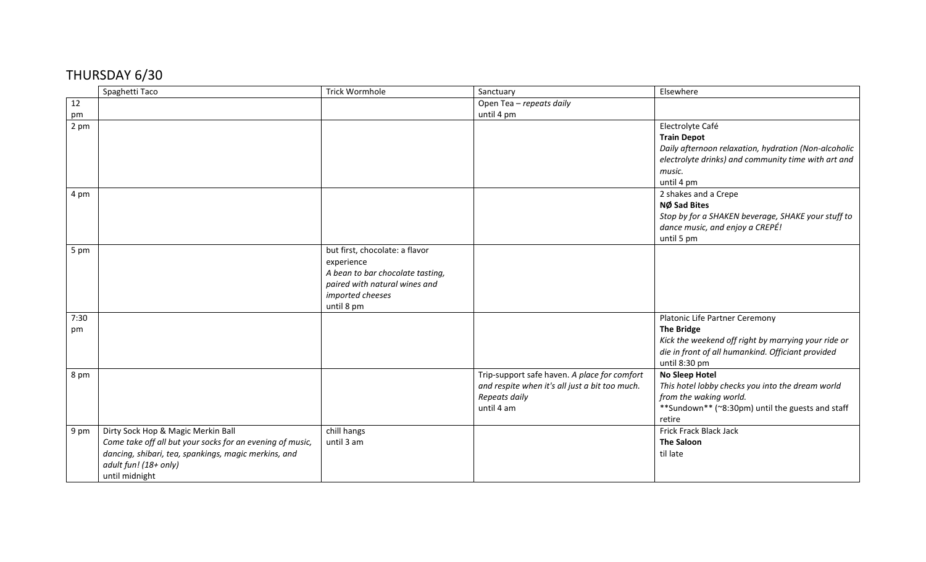## THURSDAY 6/30

|      | Spaghetti Taco                                            | <b>Trick Wormhole</b>            | Sanctuary                                      | Elsewhere                                            |
|------|-----------------------------------------------------------|----------------------------------|------------------------------------------------|------------------------------------------------------|
| 12   |                                                           |                                  | Open Tea - repeats daily                       |                                                      |
| pm   |                                                           |                                  | until 4 pm                                     |                                                      |
| 2 pm |                                                           |                                  |                                                | Electrolyte Café                                     |
|      |                                                           |                                  |                                                | <b>Train Depot</b>                                   |
|      |                                                           |                                  |                                                | Daily afternoon relaxation, hydration (Non-alcoholic |
|      |                                                           |                                  |                                                | electrolyte drinks) and community time with art and  |
|      |                                                           |                                  |                                                | music.                                               |
|      |                                                           |                                  |                                                | until 4 pm                                           |
| 4 pm |                                                           |                                  |                                                | 2 shakes and a Crepe                                 |
|      |                                                           |                                  |                                                | NØ Sad Bites                                         |
|      |                                                           |                                  |                                                | Stop by for a SHAKEN beverage, SHAKE your stuff to   |
|      |                                                           |                                  |                                                | dance music, and enjoy a CREPÉ!                      |
|      |                                                           |                                  |                                                | until 5 pm                                           |
| 5 pm |                                                           | but first, chocolate: a flavor   |                                                |                                                      |
|      |                                                           | experience                       |                                                |                                                      |
|      |                                                           | A bean to bar chocolate tasting, |                                                |                                                      |
|      |                                                           | paired with natural wines and    |                                                |                                                      |
|      |                                                           | imported cheeses                 |                                                |                                                      |
|      |                                                           | until 8 pm                       |                                                |                                                      |
| 7:30 |                                                           |                                  |                                                | Platonic Life Partner Ceremony                       |
| pm   |                                                           |                                  |                                                | <b>The Bridge</b>                                    |
|      |                                                           |                                  |                                                | Kick the weekend off right by marrying your ride or  |
|      |                                                           |                                  |                                                | die in front of all humankind. Officiant provided    |
|      |                                                           |                                  |                                                | until 8:30 pm                                        |
| 8 pm |                                                           |                                  | Trip-support safe haven. A place for comfort   | No Sleep Hotel                                       |
|      |                                                           |                                  | and respite when it's all just a bit too much. | This hotel lobby checks you into the dream world     |
|      |                                                           |                                  | Repeats daily                                  | from the waking world.                               |
|      |                                                           |                                  | until 4 am                                     | **Sundown** (~8:30pm) until the guests and staff     |
|      |                                                           |                                  |                                                | retire                                               |
| 9 pm | Dirty Sock Hop & Magic Merkin Ball                        | chill hangs                      |                                                | Frick Frack Black Jack                               |
|      | Come take off all but your socks for an evening of music, | until 3 am                       |                                                | <b>The Saloon</b>                                    |
|      | dancing, shibari, tea, spankings, magic merkins, and      |                                  |                                                | til late                                             |
|      | adult fun! (18+ only)                                     |                                  |                                                |                                                      |
|      | until midnight                                            |                                  |                                                |                                                      |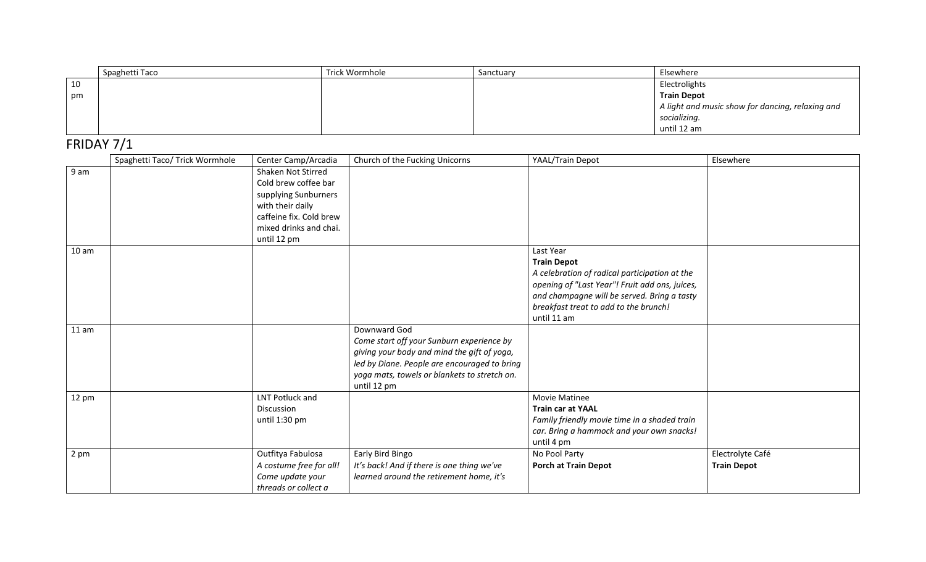|    | Spaghetti Taco | Trick Wormhole | Sanctuary | Elsewhere                                        |
|----|----------------|----------------|-----------|--------------------------------------------------|
| 10 |                |                |           | Electrolights                                    |
| pm |                |                |           | <b>Train Depot</b>                               |
|    |                |                |           | A light and music show for dancing, relaxing and |
|    |                |                |           | socializing.                                     |
|    |                |                |           | until 12 am                                      |

## FRIDAY 7/1

|                  | Spaghetti Taco/ Trick Wormhole | Center Camp/Arcadia                                                                      | Church of the Fucking Unicorns                                                                                                                                                                                          | YAAL/Train Depot                                                                                                                                                                                                                          | Elsewhere                              |
|------------------|--------------------------------|------------------------------------------------------------------------------------------|-------------------------------------------------------------------------------------------------------------------------------------------------------------------------------------------------------------------------|-------------------------------------------------------------------------------------------------------------------------------------------------------------------------------------------------------------------------------------------|----------------------------------------|
| 9 am             |                                | Shaken Not Stirred<br>Cold brew coffee bar<br>supplying Sunburners                       |                                                                                                                                                                                                                         |                                                                                                                                                                                                                                           |                                        |
|                  |                                | with their daily<br>caffeine fix. Cold brew                                              |                                                                                                                                                                                                                         |                                                                                                                                                                                                                                           |                                        |
|                  |                                | mixed drinks and chai.<br>until 12 pm                                                    |                                                                                                                                                                                                                         |                                                                                                                                                                                                                                           |                                        |
| 10 <sub>am</sub> |                                |                                                                                          |                                                                                                                                                                                                                         | Last Year<br><b>Train Depot</b><br>A celebration of radical participation at the<br>opening of "Last Year"! Fruit add ons, juices,<br>and champagne will be served. Bring a tasty<br>breakfast treat to add to the brunch!<br>until 11 am |                                        |
| 11 am            |                                |                                                                                          | Downward God<br>Come start off your Sunburn experience by<br>giving your body and mind the gift of yoga,<br>led by Diane. People are encouraged to bring<br>yoga mats, towels or blankets to stretch on.<br>until 12 pm |                                                                                                                                                                                                                                           |                                        |
| 12 pm            |                                | LNT Potluck and<br>Discussion<br>until 1:30 pm                                           |                                                                                                                                                                                                                         | <b>Movie Matinee</b><br><b>Train car at YAAL</b><br>Family friendly movie time in a shaded train<br>car. Bring a hammock and your own snacks!<br>until 4 pm                                                                               |                                        |
| 2 pm             |                                | Outfitya Fabulosa<br>A costume free for all!<br>Come update your<br>threads or collect a | Early Bird Bingo<br>It's back! And if there is one thing we've<br>learned around the retirement home, it's                                                                                                              | No Pool Party<br><b>Porch at Train Depot</b>                                                                                                                                                                                              | Electrolyte Café<br><b>Train Depot</b> |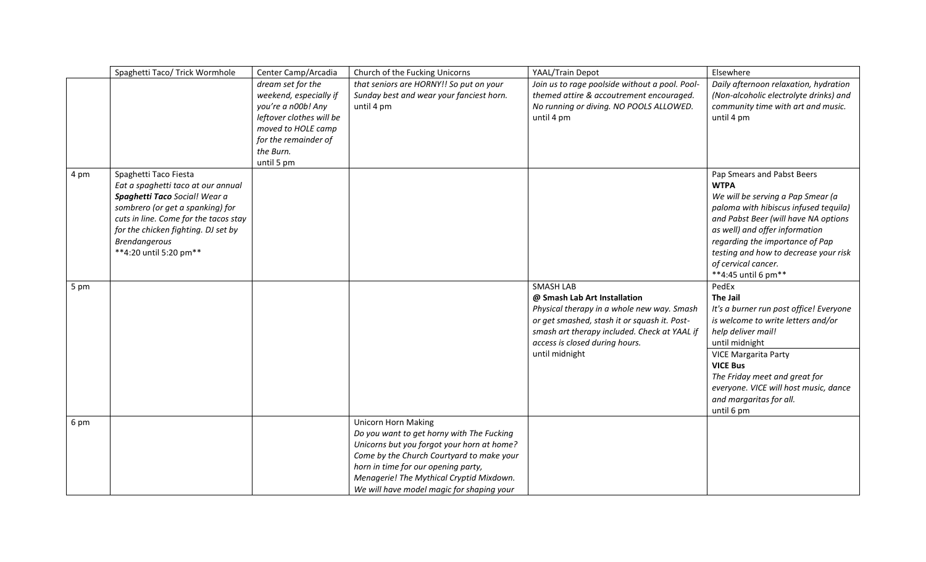|      | Spaghetti Taco/ Trick Wormhole                                                                                                                                                                                                                                     | Center Camp/Arcadia                                                                                                                                                    | Church of the Fucking Unicorns                                                                                                                                                                                                                                                                     | YAAL/Train Depot                                                                                                                                                                                                                                   | Elsewhere                                                                                                                                                                                                                                                                                                                   |
|------|--------------------------------------------------------------------------------------------------------------------------------------------------------------------------------------------------------------------------------------------------------------------|------------------------------------------------------------------------------------------------------------------------------------------------------------------------|----------------------------------------------------------------------------------------------------------------------------------------------------------------------------------------------------------------------------------------------------------------------------------------------------|----------------------------------------------------------------------------------------------------------------------------------------------------------------------------------------------------------------------------------------------------|-----------------------------------------------------------------------------------------------------------------------------------------------------------------------------------------------------------------------------------------------------------------------------------------------------------------------------|
|      |                                                                                                                                                                                                                                                                    | dream set for the<br>weekend, especially if<br>you're a n00b! Any<br>leftover clothes will be<br>moved to HOLE camp<br>for the remainder of<br>the Burn.<br>until 5 pm | that seniors are HORNY!! So put on your<br>Sunday best and wear your fanciest horn.<br>until 4 pm                                                                                                                                                                                                  | Join us to rage poolside without a pool. Pool-<br>themed attire & accoutrement encouraged.<br>No running or diving. NO POOLS ALLOWED.<br>until 4 pm                                                                                                | Daily afternoon relaxation, hydration<br>(Non-alcoholic electrolyte drinks) and<br>community time with art and music.<br>until 4 pm                                                                                                                                                                                         |
| 4 pm | Spaghetti Taco Fiesta<br>Eat a spaghetti taco at our annual<br>Spaghetti Taco Social! Wear a<br>sombrero (or get a spanking) for<br>cuts in line. Come for the tacos stay<br>for the chicken fighting. DJ set by<br><b>Brendangerous</b><br>**4:20 until 5:20 pm** |                                                                                                                                                                        |                                                                                                                                                                                                                                                                                                    |                                                                                                                                                                                                                                                    | Pap Smears and Pabst Beers<br><b>WTPA</b><br>We will be serving a Pap Smear (a<br>paloma with hibiscus infused tequila)<br>and Pabst Beer (will have NA options<br>as well) and offer information<br>regarding the importance of Pap<br>testing and how to decrease your risk<br>of cervical cancer.<br>**4:45 until 6 pm** |
| 5 pm |                                                                                                                                                                                                                                                                    |                                                                                                                                                                        |                                                                                                                                                                                                                                                                                                    | <b>SMASH LAB</b><br>@ Smash Lab Art Installation<br>Physical therapy in a whole new way. Smash<br>or get smashed, stash it or squash it. Post-<br>smash art therapy included. Check at YAAL if<br>access is closed during hours.<br>until midnight | PedEx<br><b>The Jail</b><br>It's a burner run post office! Everyone<br>is welcome to write letters and/or<br>help deliver mail!<br>until midnight<br><b>VICE Margarita Party</b><br><b>VICE Bus</b><br>The Friday meet and great for<br>everyone. VICE will host music, dance<br>and margaritas for all.                    |
| 6 pm |                                                                                                                                                                                                                                                                    |                                                                                                                                                                        | <b>Unicorn Horn Making</b><br>Do you want to get horny with The Fucking<br>Unicorns but you forgot your horn at home?<br>Come by the Church Courtyard to make your<br>horn in time for our opening party,<br>Menagerie! The Mythical Cryptid Mixdown.<br>We will have model magic for shaping your |                                                                                                                                                                                                                                                    | until 6 pm                                                                                                                                                                                                                                                                                                                  |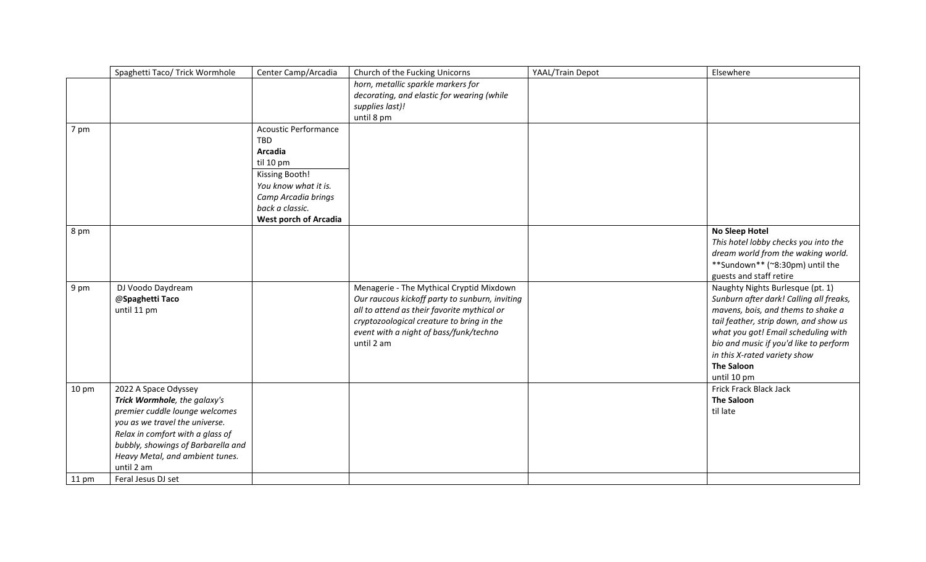| horn, metallic sparkle markers for<br>decorating, and elastic for wearing (while                             |  |
|--------------------------------------------------------------------------------------------------------------|--|
|                                                                                                              |  |
|                                                                                                              |  |
| supplies last)!                                                                                              |  |
| until 8 pm                                                                                                   |  |
| <b>Acoustic Performance</b><br>7 pm                                                                          |  |
| <b>TBD</b>                                                                                                   |  |
| Arcadia                                                                                                      |  |
| til 10 pm                                                                                                    |  |
| Kissing Booth!                                                                                               |  |
| You know what it is.                                                                                         |  |
| Camp Arcadia brings                                                                                          |  |
| back a classic.                                                                                              |  |
| <b>West porch of Arcadia</b>                                                                                 |  |
| No Sleep Hotel<br>8 pm                                                                                       |  |
| This hotel lobby checks you into the                                                                         |  |
| dream world from the waking world.                                                                           |  |
| **Sundown** (~8:30pm) until the                                                                              |  |
| guests and staff retire                                                                                      |  |
| Menagerie - The Mythical Cryptid Mixdown<br>Naughty Nights Burlesque (pt. 1)<br>DJ Voodo Daydream<br>9 pm    |  |
| Our raucous kickoff party to sunburn, inviting<br>Sunburn after dark! Calling all freaks,<br>@Spaghetti Taco |  |
| all to attend as their favorite mythical or<br>mavens, bois, and thems to shake a<br>until 11 pm             |  |
| cryptozoological creature to bring in the<br>tail feather, strip down, and show us                           |  |
| event with a night of bass/funk/techno<br>what you got! Email scheduling with                                |  |
| bio and music if you'd like to perform<br>until 2 am                                                         |  |
| in this X-rated variety show                                                                                 |  |
| <b>The Saloon</b>                                                                                            |  |
| until 10 pm                                                                                                  |  |
| Frick Frack Black Jack<br>2022 A Space Odyssey<br>$10 \text{ pm}$                                            |  |
| Trick Wormhole, the galaxy's<br><b>The Saloon</b>                                                            |  |
| premier cuddle lounge welcomes<br>til late                                                                   |  |
| you as we travel the universe.                                                                               |  |
| Relax in comfort with a glass of                                                                             |  |
| bubbly, showings of Barbarella and                                                                           |  |
| Heavy Metal, and ambient tunes.                                                                              |  |
| until 2 am                                                                                                   |  |
| Feral Jesus DJ set<br>$11 \text{ pm}$                                                                        |  |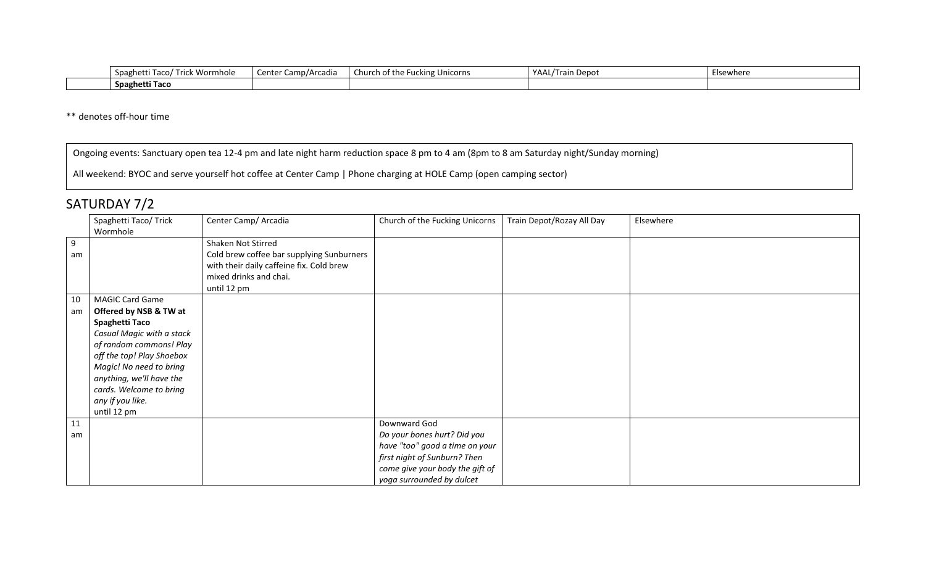| Trick Wormhole<br>Taco/<br>Spaghetti | Camp/Arcadia<br>Center | $\cdot$ $\cdot$<br>Church of the Fucking Unicorns | MAAL/Tru<br>.ın Depot | Elsewhere |
|--------------------------------------|------------------------|---------------------------------------------------|-----------------------|-----------|
| Spaghetti Taco                       |                        |                                                   |                       |           |

\*\* denotes off-hour time

Ongoing events: Sanctuary open tea 12-4 pm and late night harm reduction space 8 pm to 4 am (8pm to 8 am Saturday night/Sunday morning)

All weekend: BYOC and serve yourself hot coffee at Center Camp | Phone charging at HOLE Camp (open camping sector)

## SATURDAY 7/2

|          | Spaghetti Taco/ Trick                                                                                                                                                                                                                                                        | Center Camp/ Arcadia                                                                                                                                 | Church of the Fucking Unicorns                                                                                                                                                | Train Depot/Rozay All Day | Elsewhere |
|----------|------------------------------------------------------------------------------------------------------------------------------------------------------------------------------------------------------------------------------------------------------------------------------|------------------------------------------------------------------------------------------------------------------------------------------------------|-------------------------------------------------------------------------------------------------------------------------------------------------------------------------------|---------------------------|-----------|
|          | Wormhole                                                                                                                                                                                                                                                                     |                                                                                                                                                      |                                                                                                                                                                               |                           |           |
| 9<br>am  |                                                                                                                                                                                                                                                                              | Shaken Not Stirred<br>Cold brew coffee bar supplying Sunburners<br>with their daily caffeine fix. Cold brew<br>mixed drinks and chai.<br>until 12 pm |                                                                                                                                                                               |                           |           |
| 10<br>am | <b>MAGIC Card Game</b><br>Offered by NSB & TW at<br>Spaghetti Taco<br>Casual Magic with a stack<br>of random commons! Play<br>off the top! Play Shoebox<br>Magic! No need to bring<br>anything, we'll have the<br>cards. Welcome to bring<br>any if you like.<br>until 12 pm |                                                                                                                                                      |                                                                                                                                                                               |                           |           |
| 11<br>am |                                                                                                                                                                                                                                                                              |                                                                                                                                                      | Downward God<br>Do your bones hurt? Did you<br>have "too" good a time on your<br>first night of Sunburn? Then<br>come give your body the gift of<br>yoga surrounded by dulcet |                           |           |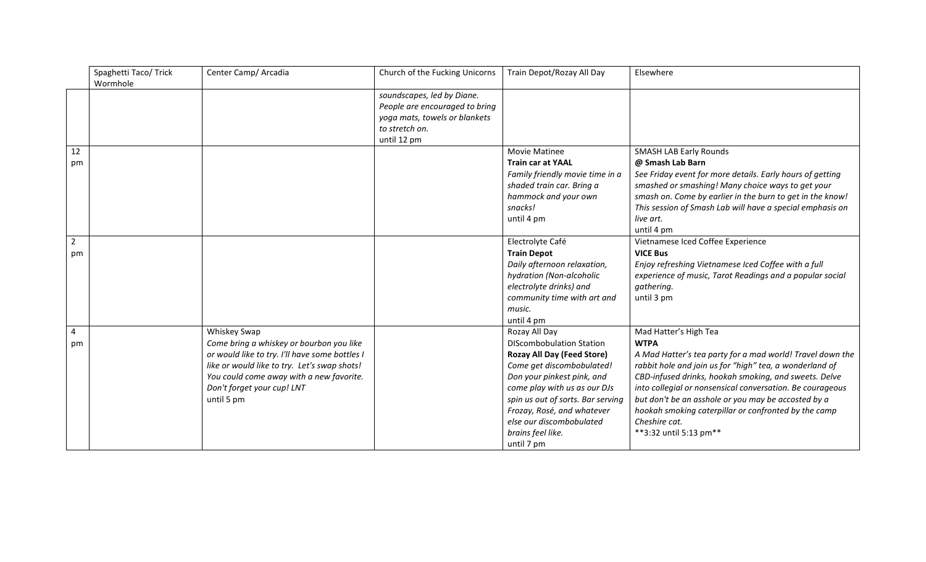|                | Spaghetti Taco/ Trick<br>Wormhole | Center Camp/ Arcadia                           | Church of the Fucking Unicorns | Train Depot/Rozay All Day         | Elsewhere                                                 |
|----------------|-----------------------------------|------------------------------------------------|--------------------------------|-----------------------------------|-----------------------------------------------------------|
|                |                                   |                                                |                                |                                   |                                                           |
|                |                                   |                                                | soundscapes, led by Diane.     |                                   |                                                           |
|                |                                   |                                                | People are encouraged to bring |                                   |                                                           |
|                |                                   |                                                | yoga mats, towels or blankets  |                                   |                                                           |
|                |                                   |                                                | to stretch on.                 |                                   |                                                           |
|                |                                   |                                                | until 12 pm                    |                                   |                                                           |
| 12             |                                   |                                                |                                | Movie Matinee                     | <b>SMASH LAB Early Rounds</b>                             |
| pm             |                                   |                                                |                                | <b>Train car at YAAL</b>          | @ Smash Lab Barn                                          |
|                |                                   |                                                |                                | Family friendly movie time in a   | See Friday event for more details. Early hours of getting |
|                |                                   |                                                |                                | shaded train car. Bring a         | smashed or smashing! Many choice ways to get your         |
|                |                                   |                                                |                                | hammock and your own              | smash on. Come by earlier in the burn to get in the know! |
|                |                                   |                                                |                                | snacks!                           | This session of Smash Lab will have a special emphasis on |
|                |                                   |                                                |                                | until 4 pm                        | live art.                                                 |
|                |                                   |                                                |                                |                                   | until 4 pm                                                |
| $\overline{2}$ |                                   |                                                |                                | Electrolyte Café                  | Vietnamese Iced Coffee Experience                         |
| pm             |                                   |                                                |                                | <b>Train Depot</b>                | <b>VICE Bus</b>                                           |
|                |                                   |                                                |                                | Daily afternoon relaxation,       | Enjoy refreshing Vietnamese Iced Coffee with a full       |
|                |                                   |                                                |                                | hydration (Non-alcoholic          | experience of music, Tarot Readings and a popular social  |
|                |                                   |                                                |                                | electrolyte drinks) and           | gathering.                                                |
|                |                                   |                                                |                                | community time with art and       | until 3 pm                                                |
|                |                                   |                                                |                                | music.                            |                                                           |
|                |                                   |                                                |                                | until 4 pm                        |                                                           |
| 4              |                                   | Whiskey Swap                                   |                                | Rozay All Day                     | Mad Hatter's High Tea                                     |
| pm             |                                   | Come bring a whiskey or bourbon you like       |                                | <b>DIScombobulation Station</b>   | <b>WTPA</b>                                               |
|                |                                   | or would like to try. I'll have some bottles I |                                | <b>Rozay All Day (Feed Store)</b> | A Mad Hatter's tea party for a mad world! Travel down the |
|                |                                   | like or would like to try. Let's swap shots!   |                                | Come get discombobulated!         | rabbit hole and join us for "high" tea, a wonderland of   |
|                |                                   | You could come away with a new favorite.       |                                | Don your pinkest pink, and        | CBD-infused drinks, hookah smoking, and sweets. Delve     |
|                |                                   | Don't forget your cup! LNT                     |                                | come play with us as our DJs      | into collegial or nonsensical conversation. Be courageous |
|                |                                   | until 5 pm                                     |                                | spin us out of sorts. Bar serving | but don't be an asshole or you may be accosted by a       |
|                |                                   |                                                |                                | Frozay, Rosé, and whatever        | hookah smoking caterpillar or confronted by the camp      |
|                |                                   |                                                |                                | else our discombobulated          | Cheshire cat.                                             |
|                |                                   |                                                |                                | brains feel like.                 | **3:32 until 5:13 pm**                                    |
|                |                                   |                                                |                                | until 7 pm                        |                                                           |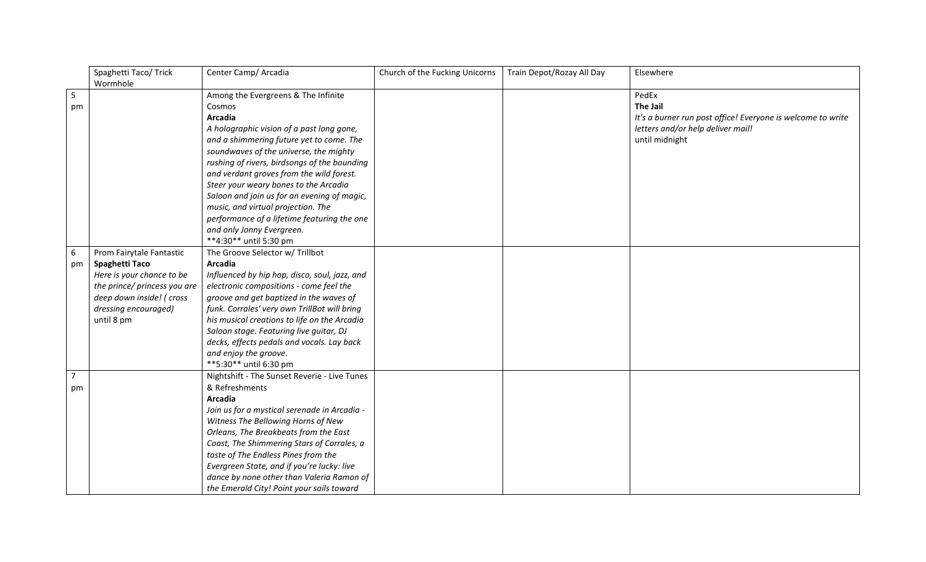|                | Spaghetti Taco/ Trick        | Center Camp/ Arcadia                          | Church of the Fucking Unicorns | Train Depot/Rozay All Day | Elsewhere                                                   |
|----------------|------------------------------|-----------------------------------------------|--------------------------------|---------------------------|-------------------------------------------------------------|
|                | Wormhole                     |                                               |                                |                           |                                                             |
| 5              |                              | Among the Evergreens & The Infinite           |                                |                           | PedEx                                                       |
| pm             |                              | Cosmos                                        |                                |                           | <b>The Jail</b>                                             |
|                |                              | <b>Arcadia</b>                                |                                |                           | It's a burner run post office! Everyone is welcome to write |
|                |                              | A holographic vision of a past long gone,     |                                |                           | letters and/or help deliver mail!                           |
|                |                              | and a shimmering future yet to come. The      |                                |                           | until midnight                                              |
|                |                              | soundwaves of the universe, the mighty        |                                |                           |                                                             |
|                |                              | rushing of rivers, birdsongs of the bounding  |                                |                           |                                                             |
|                |                              | and verdant groves from the wild forest.      |                                |                           |                                                             |
|                |                              | Steer your weary bones to the Arcadia         |                                |                           |                                                             |
|                |                              | Saloon and join us for an evening of magic,   |                                |                           |                                                             |
|                |                              | music, and virtual projection. The            |                                |                           |                                                             |
|                |                              | performance of a lifetime featuring the one   |                                |                           |                                                             |
|                |                              | and only Jonny Evergreen.                     |                                |                           |                                                             |
|                |                              | **4:30** until 5:30 pm                        |                                |                           |                                                             |
| 6              | Prom Fairytale Fantastic     | The Groove Selector w/ Trillbot               |                                |                           |                                                             |
| pm             | Spaghetti Taco               | <b>Arcadia</b>                                |                                |                           |                                                             |
|                | Here is your chance to be    | Influenced by hip hop, disco, soul, jazz, and |                                |                           |                                                             |
|                | the prince/ princess you are | electronic compositions - come feel the       |                                |                           |                                                             |
|                | deep down inside! ( cross    | groove and get baptized in the waves of       |                                |                           |                                                             |
|                | dressing encouraged)         | funk. Corrales' very own TrillBot will bring  |                                |                           |                                                             |
|                | until 8 pm                   | his musical creations to life on the Arcadia  |                                |                           |                                                             |
|                |                              | Saloon stage. Featuring live guitar, DJ       |                                |                           |                                                             |
|                |                              | decks, effects pedals and vocals. Lay back    |                                |                           |                                                             |
|                |                              | and enjoy the groove.                         |                                |                           |                                                             |
|                |                              | **5:30** until 6:30 pm                        |                                |                           |                                                             |
| $\overline{7}$ |                              | Nightshift - The Sunset Reverie - Live Tunes  |                                |                           |                                                             |
| pm             |                              | & Refreshments                                |                                |                           |                                                             |
|                |                              | <b>Arcadia</b>                                |                                |                           |                                                             |
|                |                              | Join us for a mystical serenade in Arcadia -  |                                |                           |                                                             |
|                |                              | Witness The Bellowing Horns of New            |                                |                           |                                                             |
|                |                              | Orleans, The Breakbeats from the East         |                                |                           |                                                             |
|                |                              | Coast, The Shimmering Stars of Corrales, a    |                                |                           |                                                             |
|                |                              | taste of The Endless Pines from the           |                                |                           |                                                             |
|                |                              | Evergreen State, and if you're lucky: live    |                                |                           |                                                             |
|                |                              | dance by none other than Valeria Ramon of     |                                |                           |                                                             |
|                |                              | the Emerald City! Point your sails toward     |                                |                           |                                                             |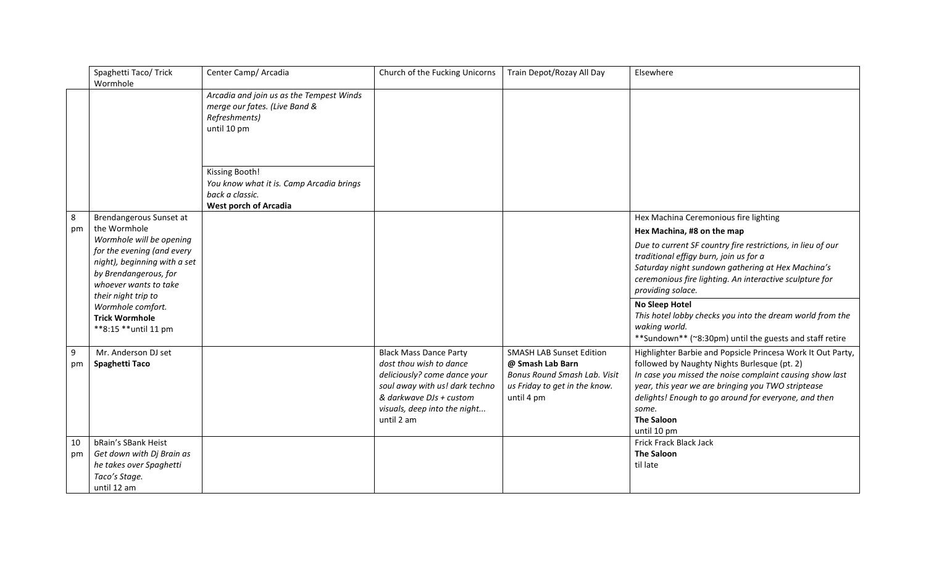|         | Spaghetti Taco/ Trick                                                                                                               | Center Camp/ Arcadia                                                                                          | Church of the Fucking Unicorns                                                                                                                                                                      | Train Depot/Rozay All Day                                                                                                          | Elsewhere                                                                                                                                                                                                                                                                                                                          |
|---------|-------------------------------------------------------------------------------------------------------------------------------------|---------------------------------------------------------------------------------------------------------------|-----------------------------------------------------------------------------------------------------------------------------------------------------------------------------------------------------|------------------------------------------------------------------------------------------------------------------------------------|------------------------------------------------------------------------------------------------------------------------------------------------------------------------------------------------------------------------------------------------------------------------------------------------------------------------------------|
|         | Wormhole                                                                                                                            | Arcadia and join us as the Tempest Winds<br>merge our fates. (Live Band &<br>Refreshments)<br>until 10 pm     |                                                                                                                                                                                                     |                                                                                                                                    |                                                                                                                                                                                                                                                                                                                                    |
|         |                                                                                                                                     | Kissing Booth!<br>You know what it is. Camp Arcadia brings<br>back a classic.<br><b>West porch of Arcadia</b> |                                                                                                                                                                                                     |                                                                                                                                    |                                                                                                                                                                                                                                                                                                                                    |
| 8       | Brendangerous Sunset at                                                                                                             |                                                                                                               |                                                                                                                                                                                                     |                                                                                                                                    | Hex Machina Ceremonious fire lighting                                                                                                                                                                                                                                                                                              |
| pm      | the Wormhole<br>Wormhole will be opening                                                                                            |                                                                                                               |                                                                                                                                                                                                     |                                                                                                                                    | Hex Machina, #8 on the map                                                                                                                                                                                                                                                                                                         |
|         | for the evening (and every<br>night), beginning with a set<br>by Brendangerous, for<br>whoever wants to take<br>their night trip to |                                                                                                               |                                                                                                                                                                                                     |                                                                                                                                    | Due to current SF country fire restrictions, in lieu of our<br>traditional effigy burn, join us for a<br>Saturday night sundown gathering at Hex Machina's<br>ceremonious fire lighting. An interactive sculpture for<br>providing solace.                                                                                         |
|         | Wormhole comfort.<br><b>Trick Wormhole</b><br>**8:15 **until 11 pm                                                                  |                                                                                                               |                                                                                                                                                                                                     |                                                                                                                                    | No Sleep Hotel<br>This hotel lobby checks you into the dream world from the<br>waking world.<br>**Sundown** (~8:30pm) until the guests and staff retire                                                                                                                                                                            |
| 9<br>pm | Mr. Anderson DJ set<br>Spaghetti Taco                                                                                               |                                                                                                               | <b>Black Mass Dance Party</b><br>dost thou wish to dance<br>deliciously? come dance your<br>soul away with us! dark techno<br>& darkwave DJs + custom<br>visuals, deep into the night<br>until 2 am | <b>SMASH LAB Sunset Edition</b><br>@ Smash Lab Barn<br>Bonus Round Smash Lab. Visit<br>us Friday to get in the know.<br>until 4 pm | Highlighter Barbie and Popsicle Princesa Work It Out Party,<br>followed by Naughty Nights Burlesque (pt. 2)<br>In case you missed the noise complaint causing show last<br>year, this year we are bringing you TWO striptease<br>delights! Enough to go around for everyone, and then<br>some.<br><b>The Saloon</b><br>until 10 pm |
| 10      | bRain's SBank Heist                                                                                                                 |                                                                                                               |                                                                                                                                                                                                     |                                                                                                                                    | Frick Frack Black Jack                                                                                                                                                                                                                                                                                                             |
| pm      | Get down with Dj Brain as                                                                                                           |                                                                                                               |                                                                                                                                                                                                     |                                                                                                                                    | <b>The Saloon</b>                                                                                                                                                                                                                                                                                                                  |
|         | he takes over Spaghetti                                                                                                             |                                                                                                               |                                                                                                                                                                                                     |                                                                                                                                    | til late                                                                                                                                                                                                                                                                                                                           |
|         | Taco's Stage.<br>until 12 am                                                                                                        |                                                                                                               |                                                                                                                                                                                                     |                                                                                                                                    |                                                                                                                                                                                                                                                                                                                                    |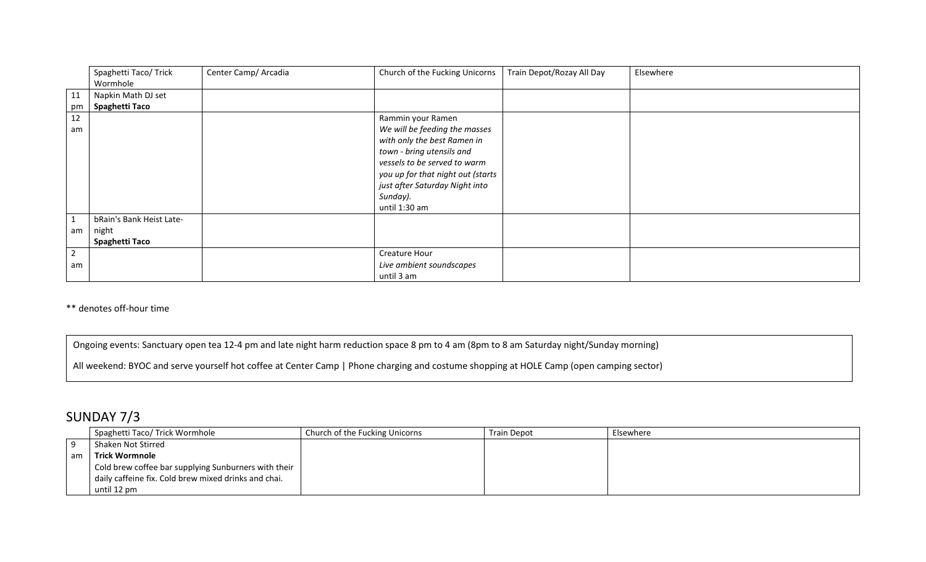|                | Spaghetti Taco/ Trick<br>Wormhole | Center Camp/ Arcadia | Church of the Fucking Unicorns    | Train Depot/Rozay All Day | Elsewhere |
|----------------|-----------------------------------|----------------------|-----------------------------------|---------------------------|-----------|
| 11             | Napkin Math DJ set                |                      |                                   |                           |           |
| pm             | Spaghetti Taco                    |                      |                                   |                           |           |
| 12             |                                   |                      | Rammin your Ramen                 |                           |           |
| am             |                                   |                      | We will be feeding the masses     |                           |           |
|                |                                   |                      | with only the best Ramen in       |                           |           |
|                |                                   |                      | town - bring utensils and         |                           |           |
|                |                                   |                      | vessels to be served to warm      |                           |           |
|                |                                   |                      | you up for that night out (starts |                           |           |
|                |                                   |                      | just after Saturday Night into    |                           |           |
|                |                                   |                      | Sunday).                          |                           |           |
|                |                                   |                      | until 1:30 am                     |                           |           |
| $\mathbf{1}$   | bRain's Bank Heist Late-          |                      |                                   |                           |           |
| am             | night                             |                      |                                   |                           |           |
|                | Spaghetti Taco                    |                      |                                   |                           |           |
| $\overline{2}$ |                                   |                      | Creature Hour                     |                           |           |
| am             |                                   |                      | Live ambient soundscapes          |                           |           |
|                |                                   |                      | until 3 am                        |                           |           |

\*\* denotes off-hour time

Ongoing events: Sanctuary open tea 12-4 pm and late night harm reduction space 8 pm to 4 am (8pm to 8 am Saturday night/Sunday morning)

All weekend: BYOC and serve yourself hot coffee at Center Camp | Phone charging and costume shopping at HOLE Camp (open camping sector)

## SUNDAY 7/3

|    | Spaghetti Taco/ Trick Wormhole                       | Church of the Fucking Unicorns | <b>Train Depot</b> | Elsewhere |
|----|------------------------------------------------------|--------------------------------|--------------------|-----------|
|    | Shaken Not Stirred                                   |                                |                    |           |
| am | Trick Wormnole                                       |                                |                    |           |
|    | Cold brew coffee bar supplying Sunburners with their |                                |                    |           |
|    | daily caffeine fix. Cold brew mixed drinks and chai. |                                |                    |           |
|    | until 12 pm                                          |                                |                    |           |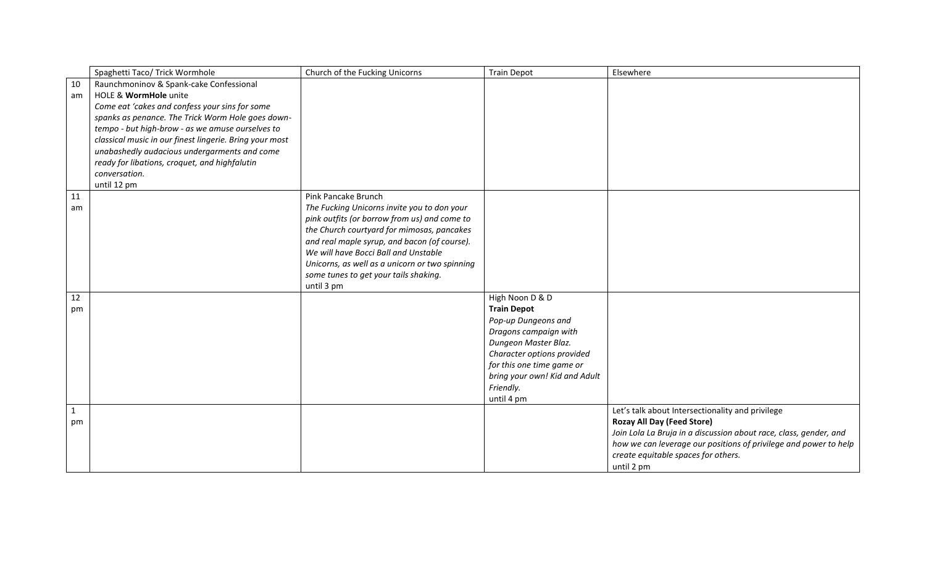|    | Spaghetti Taco/ Trick Wormhole                          | Church of the Fucking Unicorns                                                              | <b>Train Depot</b>            | Elsewhere                                                         |
|----|---------------------------------------------------------|---------------------------------------------------------------------------------------------|-------------------------------|-------------------------------------------------------------------|
| 10 | Raunchmoninov & Spank-cake Confessional                 |                                                                                             |                               |                                                                   |
| am | HOLE & WormHole unite                                   |                                                                                             |                               |                                                                   |
|    | Come eat 'cakes and confess your sins for some          |                                                                                             |                               |                                                                   |
|    | spanks as penance. The Trick Worm Hole goes down-       |                                                                                             |                               |                                                                   |
|    | tempo - but high-brow - as we amuse ourselves to        |                                                                                             |                               |                                                                   |
|    | classical music in our finest lingerie. Bring your most |                                                                                             |                               |                                                                   |
|    | unabashedly audacious undergarments and come            |                                                                                             |                               |                                                                   |
|    | ready for libations, croquet, and highfalutin           |                                                                                             |                               |                                                                   |
|    | conversation.                                           |                                                                                             |                               |                                                                   |
|    | until 12 pm                                             |                                                                                             |                               |                                                                   |
| 11 |                                                         | Pink Pancake Brunch                                                                         |                               |                                                                   |
| am |                                                         | The Fucking Unicorns invite you to don your<br>pink outfits (or borrow from us) and come to |                               |                                                                   |
|    |                                                         | the Church courtyard for mimosas, pancakes                                                  |                               |                                                                   |
|    |                                                         | and real maple syrup, and bacon (of course).                                                |                               |                                                                   |
|    |                                                         | We will have Bocci Ball and Unstable                                                        |                               |                                                                   |
|    |                                                         | Unicorns, as well as a unicorn or two spinning                                              |                               |                                                                   |
|    |                                                         | some tunes to get your tails shaking.                                                       |                               |                                                                   |
|    |                                                         | until 3 pm                                                                                  |                               |                                                                   |
| 12 |                                                         |                                                                                             | High Noon D & D               |                                                                   |
| pm |                                                         |                                                                                             | <b>Train Depot</b>            |                                                                   |
|    |                                                         |                                                                                             | Pop-up Dungeons and           |                                                                   |
|    |                                                         |                                                                                             | Dragons campaign with         |                                                                   |
|    |                                                         |                                                                                             | Dungeon Master Blaz.          |                                                                   |
|    |                                                         |                                                                                             | Character options provided    |                                                                   |
|    |                                                         |                                                                                             | for this one time game or     |                                                                   |
|    |                                                         |                                                                                             | bring your own! Kid and Adult |                                                                   |
|    |                                                         |                                                                                             | Friendly.                     |                                                                   |
| 1  |                                                         |                                                                                             | until 4 pm                    | Let's talk about Intersectionality and privilege                  |
| pm |                                                         |                                                                                             |                               | <b>Rozay All Day (Feed Store)</b>                                 |
|    |                                                         |                                                                                             |                               | Join Lola La Bruja in a discussion about race, class, gender, and |
|    |                                                         |                                                                                             |                               | how we can leverage our positions of privilege and power to help  |
|    |                                                         |                                                                                             |                               | create equitable spaces for others.                               |
|    |                                                         |                                                                                             |                               | until 2 pm                                                        |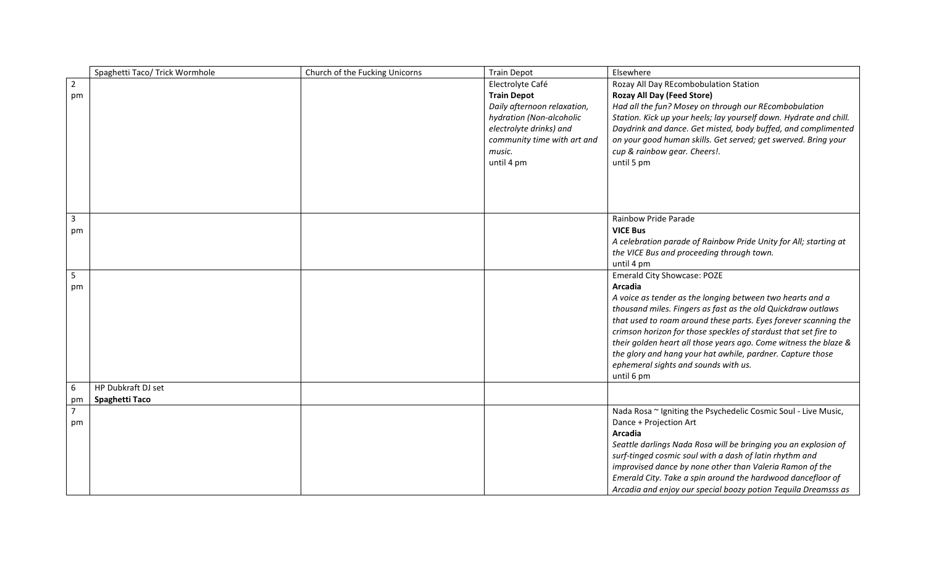|                | Spaghetti Taco/ Trick Wormhole | Church of the Fucking Unicorns | <b>Train Depot</b>          | Elsewhere                                                                                                                 |
|----------------|--------------------------------|--------------------------------|-----------------------------|---------------------------------------------------------------------------------------------------------------------------|
| $\overline{2}$ |                                |                                | Electrolyte Café            | Rozay All Day REcombobulation Station                                                                                     |
| pm             |                                |                                | <b>Train Depot</b>          | <b>Rozay All Day (Feed Store)</b>                                                                                         |
|                |                                |                                | Daily afternoon relaxation, | Had all the fun? Mosey on through our REcombobulation                                                                     |
|                |                                |                                | hydration (Non-alcoholic    | Station. Kick up your heels; lay yourself down. Hydrate and chill.                                                        |
|                |                                |                                | electrolyte drinks) and     | Daydrink and dance. Get misted, body buffed, and complimented                                                             |
|                |                                |                                | community time with art and | on your good human skills. Get served; get swerved. Bring your                                                            |
|                |                                |                                | music.                      | cup & rainbow gear. Cheers!.                                                                                              |
|                |                                |                                | until 4 pm                  | until 5 pm                                                                                                                |
|                |                                |                                |                             |                                                                                                                           |
|                |                                |                                |                             |                                                                                                                           |
|                |                                |                                |                             |                                                                                                                           |
|                |                                |                                |                             |                                                                                                                           |
| $\mathbf{3}$   |                                |                                |                             | Rainbow Pride Parade                                                                                                      |
| pm             |                                |                                |                             | <b>VICE Bus</b>                                                                                                           |
|                |                                |                                |                             | A celebration parade of Rainbow Pride Unity for All; starting at                                                          |
|                |                                |                                |                             | the VICE Bus and proceeding through town.                                                                                 |
|                |                                |                                |                             | until 4 pm                                                                                                                |
| $5\phantom{.}$ |                                |                                |                             | <b>Emerald City Showcase: POZE</b><br>Arcadia                                                                             |
| pm             |                                |                                |                             |                                                                                                                           |
|                |                                |                                |                             | A voice as tender as the longing between two hearts and a<br>thousand miles. Fingers as fast as the old Quickdraw outlaws |
|                |                                |                                |                             | that used to roam around these parts. Eyes forever scanning the                                                           |
|                |                                |                                |                             | crimson horizon for those speckles of stardust that set fire to                                                           |
|                |                                |                                |                             | their golden heart all those years ago. Come witness the blaze &                                                          |
|                |                                |                                |                             | the glory and hang your hat awhile, pardner. Capture those                                                                |
|                |                                |                                |                             | ephemeral sights and sounds with us.                                                                                      |
|                |                                |                                |                             | until 6 pm                                                                                                                |
| 6              | HP Dubkraft DJ set             |                                |                             |                                                                                                                           |
| pm             | Spaghetti Taco                 |                                |                             |                                                                                                                           |
| $\overline{7}$ |                                |                                |                             | Nada Rosa ~ Igniting the Psychedelic Cosmic Soul - Live Music,                                                            |
| pm             |                                |                                |                             | Dance + Projection Art                                                                                                    |
|                |                                |                                |                             | <b>Arcadia</b>                                                                                                            |
|                |                                |                                |                             | Seattle darlings Nada Rosa will be bringing you an explosion of                                                           |
|                |                                |                                |                             | surf-tinged cosmic soul with a dash of latin rhythm and                                                                   |
|                |                                |                                |                             | improvised dance by none other than Valeria Ramon of the                                                                  |
|                |                                |                                |                             | Emerald City. Take a spin around the hardwood dancefloor of                                                               |
|                |                                |                                |                             | Arcadia and enjoy our special boozy potion Tequila Dreamsss as                                                            |